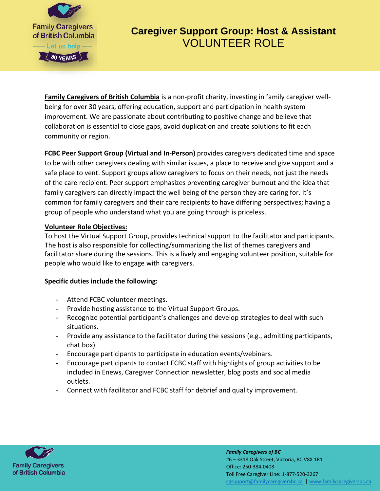

# **Caregiver Support Group: Host & Assistant**  VOLUNTEER ROLE

**[Family Caregivers of British Columbia](https://www.familycaregiversbc.ca/)** is a non-profit charity, investing in family caregiver wellbeing for over 30 years, offering education, support and participation in health system improvement. We are passionate about contributing to positive change and believe that collaboration is essential to close gaps, avoid duplication and create solutions to fit each community or region.

**FCBC Peer Support Group (Virtual and In-Person)** provides caregivers dedicated time and space to be with other caregivers dealing with similar issues, a place to receive and give support and a safe place to vent. Support groups allow caregivers to focus on their needs, not just the needs of the care recipient. Peer support emphasizes preventing caregiver burnout and the idea that family caregivers can directly impact the well being of the person they are caring for. It's common for family caregivers and their care recipients to have differing perspectives; having a group of people who understand what you are going through is priceless.

#### **Volunteer Role Objectives:**

To host the Virtual Support Group, provides technical support to the facilitator and participants. The host is also responsible for collecting/summarizing the list of themes caregivers and facilitator share during the sessions. This is a lively and engaging volunteer position, suitable for people who would like to engage with caregivers.

#### **Specific duties include the following:**

- Attend FCBC volunteer meetings.
- Provide hosting assistance to the Virtual Support Groups.
- Recognize potential participant's challenges and develop strategies to deal with such situations.
- Provide any assistance to the facilitator during the sessions (e.g., admitting participants, chat box).
- Encourage participants to participate in education events/webinars.
- Encourage participants to contact FCBC staff with highlights of group activities to be included in Enews, Caregiver Connection newsletter, blog posts and social media outlets.
- Connect with facilitator and FCBC staff for debrief and quality improvement.